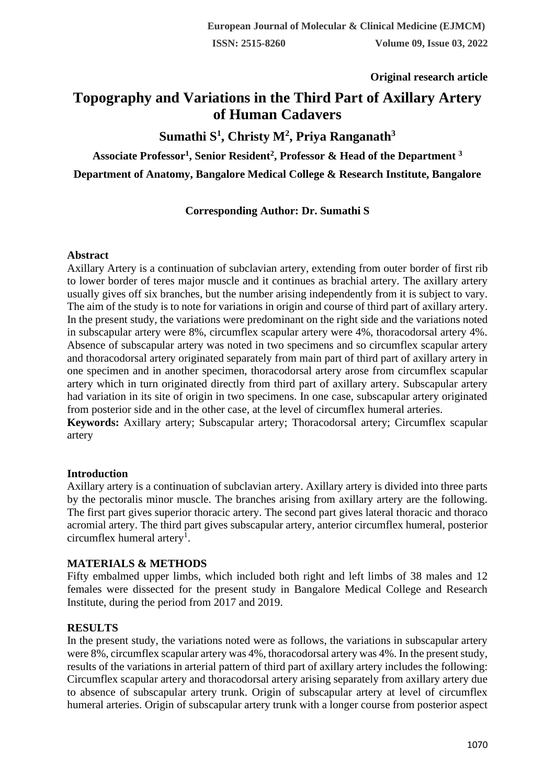### **Original research article**

# **Topography and Variations in the Third Part of Axillary Artery of Human Cadavers**

**Sumathi S<sup>1</sup> , Christy M<sup>2</sup> , Priya Ranganath<sup>3</sup>**

**Associate Professor<sup>1</sup> , Senior Resident<sup>2</sup> , Professor & Head of the Department <sup>3</sup> Department of Anatomy, Bangalore Medical College & Research Institute, Bangalore**

# **Corresponding Author: Dr. Sumathi S**

#### **Abstract**

Axillary Artery is a continuation of subclavian artery, extending from outer border of first rib to lower border of teres major muscle and it continues as brachial artery. The axillary artery usually gives off six branches, but the number arising independently from it is subject to vary. The aim of the study is to note for variations in origin and course of third part of axillary artery. In the present study, the variations were predominant on the right side and the variations noted in subscapular artery were 8%, circumflex scapular artery were 4%, thoracodorsal artery 4%. Absence of subscapular artery was noted in two specimens and so circumflex scapular artery and thoracodorsal artery originated separately from main part of third part of axillary artery in one specimen and in another specimen, thoracodorsal artery arose from circumflex scapular artery which in turn originated directly from third part of axillary artery. Subscapular artery had variation in its site of origin in two specimens. In one case, subscapular artery originated from posterior side and in the other case, at the level of circumflex humeral arteries.

**Keywords:** Axillary artery; Subscapular artery; Thoracodorsal artery; Circumflex scapular artery

### **Introduction**

Axillary artery is a continuation of subclavian artery. Axillary artery is divided into three parts by the pectoralis minor muscle. The branches arising from axillary artery are the following. The first part gives superior thoracic artery. The second part gives lateral thoracic and thoraco acromial artery. The third part gives subscapular artery, anterior circumflex humeral, posterior circumflex humeral artery<sup>1</sup>.

#### **MATERIALS & METHODS**

Fifty embalmed upper limbs, which included both right and left limbs of 38 males and 12 females were dissected for the present study in Bangalore Medical College and Research Institute, during the period from 2017 and 2019.

### **RESULTS**

In the present study, the variations noted were as follows, the variations in subscapular artery were 8%, circumflex scapular artery was 4%, thoracodorsal artery was 4%. In the present study, results of the variations in arterial pattern of third part of axillary artery includes the following: Circumflex scapular artery and thoracodorsal artery arising separately from axillary artery due to absence of subscapular artery trunk. Origin of subscapular artery at level of circumflex humeral arteries. Origin of subscapular artery trunk with a longer course from posterior aspect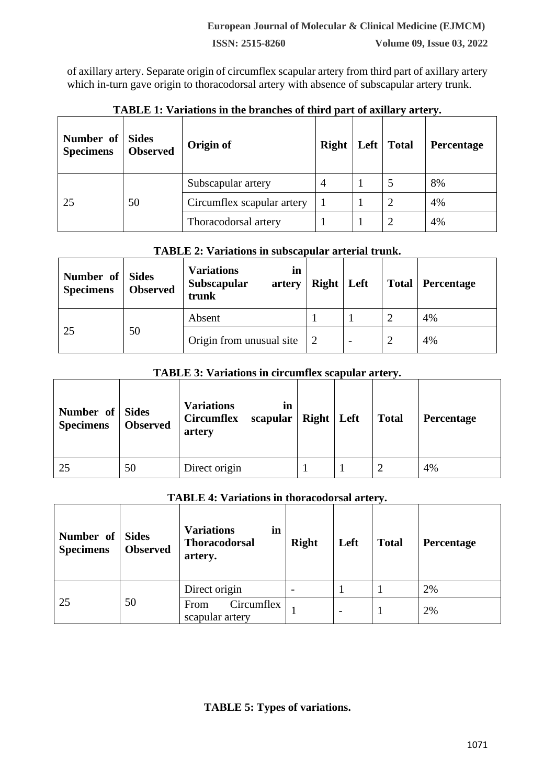**ISSN: 2515-8260 Volume 09, Issue 03, 2022**

of axillary artery. Separate origin of circumflex scapular artery from third part of axillary artery which in-turn gave origin to thoracodorsal artery with absence of subscapular artery trunk.

| Number of Sides<br><b>Specimens</b> | <b>Observed</b> | Origin of                  | Right   Left   Total |  | Percentage |
|-------------------------------------|-----------------|----------------------------|----------------------|--|------------|
| 25                                  | 50              | Subscapular artery         |                      |  | 8%         |
|                                     |                 | Circumflex scapular artery |                      |  | 4%         |
|                                     |                 | Thoracodorsal artery       |                      |  | 4%         |

### **TABLE 1: Variations in the branches of third part of axillary artery.**

# **TABLE 2: Variations in subscapular arterial trunk.**

| Number of<br><b>Specimens</b> | <b>Sides</b><br><b>Observed</b> | <b>Variations</b><br>in<br>Subscapular<br>artery<br>trunk | $Right \mid Left$ |                          | <b>Total   Percentage</b> |
|-------------------------------|---------------------------------|-----------------------------------------------------------|-------------------|--------------------------|---------------------------|
| 25                            | 50                              | Absent                                                    |                   |                          | 4%                        |
|                               |                                 | Origin from unusual site                                  | 2                 | $\overline{\phantom{a}}$ | 4%                        |

### **TABLE 3: Variations in circumflex scapular artery.**

| Number of Sides<br><b>Specimens</b> | <b>Observed</b> | <b>Variations</b><br><b>Circumflex</b><br>artery | in<br>scapular | $Right \mid Left$ | <b>Total</b> | Percentage |
|-------------------------------------|-----------------|--------------------------------------------------|----------------|-------------------|--------------|------------|
| 25                                  | 50              | Direct origin                                    |                |                   |              | 4%         |

#### **TABLE 4: Variations in thoracodorsal artery.**

| Number of<br><b>Specimens</b> | <b>Sides</b><br><b>Observed</b> | <b>Variations</b><br>in<br><b>Thoracodorsal</b><br>artery. | <b>Right</b> | Left | <b>Total</b> | <b>Percentage</b> |
|-------------------------------|---------------------------------|------------------------------------------------------------|--------------|------|--------------|-------------------|
| 25                            | 50                              | Direct origin                                              |              |      |              | 2%                |
|                               |                                 | Circumflex<br>From<br>scapular artery                      |              |      |              | 2%                |

# **TABLE 5: Types of variations.**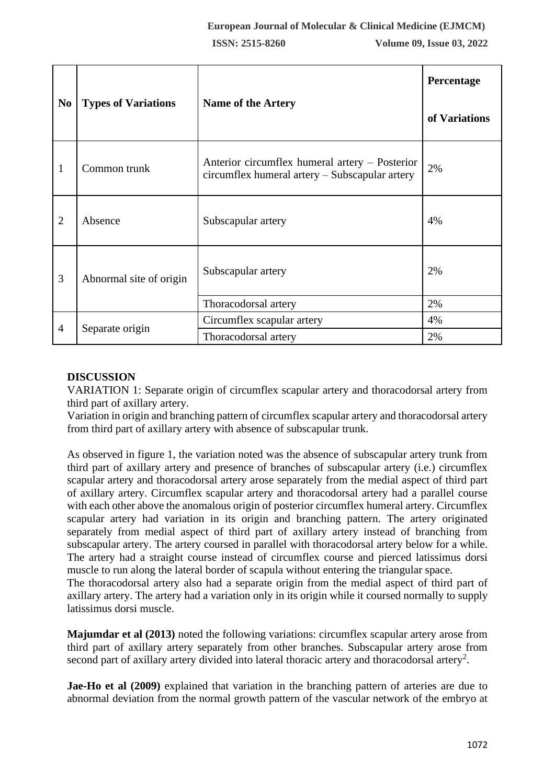|                |                            |                                                                                                  | Percentage    |
|----------------|----------------------------|--------------------------------------------------------------------------------------------------|---------------|
| N <sub>0</sub> | <b>Types of Variations</b> | <b>Name of the Artery</b>                                                                        | of Variations |
| 1              | Common trunk               | Anterior circumflex humeral artery – Posterior<br>circumflex humeral artery – Subscapular artery | 2%            |
| $\overline{2}$ | Absence                    | Subscapular artery                                                                               | 4%            |
| 3              | Abnormal site of origin    | Subscapular artery                                                                               |               |
|                |                            | Thoracodorsal artery                                                                             | 2%            |
| $\overline{4}$ | Separate origin            | Circumflex scapular artery                                                                       | 4%            |
|                |                            | Thoracodorsal artery                                                                             | 2%            |

### **DISCUSSION**

VARIATION 1: Separate origin of circumflex scapular artery and thoracodorsal artery from third part of axillary artery.

Variation in origin and branching pattern of circumflex scapular artery and thoracodorsal artery from third part of axillary artery with absence of subscapular trunk.

As observed in figure 1, the variation noted was the absence of subscapular artery trunk from third part of axillary artery and presence of branches of subscapular artery (i.e.) circumflex scapular artery and thoracodorsal artery arose separately from the medial aspect of third part of axillary artery. Circumflex scapular artery and thoracodorsal artery had a parallel course with each other above the anomalous origin of posterior circumflex humeral artery. Circumflex scapular artery had variation in its origin and branching pattern. The artery originated separately from medial aspect of third part of axillary artery instead of branching from subscapular artery. The artery coursed in parallel with thoracodorsal artery below for a while. The artery had a straight course instead of circumflex course and pierced latissimus dorsi muscle to run along the lateral border of scapula without entering the triangular space.

The thoracodorsal artery also had a separate origin from the medial aspect of third part of axillary artery. The artery had a variation only in its origin while it coursed normally to supply latissimus dorsi muscle.

**Majumdar et al (2013)** noted the following variations: circumflex scapular artery arose from third part of axillary artery separately from other branches. Subscapular artery arose from second part of axillary artery divided into lateral thoracic artery and thoracodorsal artery<sup>2</sup>.

**Jae-Ho et al (2009)** explained that variation in the branching pattern of arteries are due to abnormal deviation from the normal growth pattern of the vascular network of the embryo at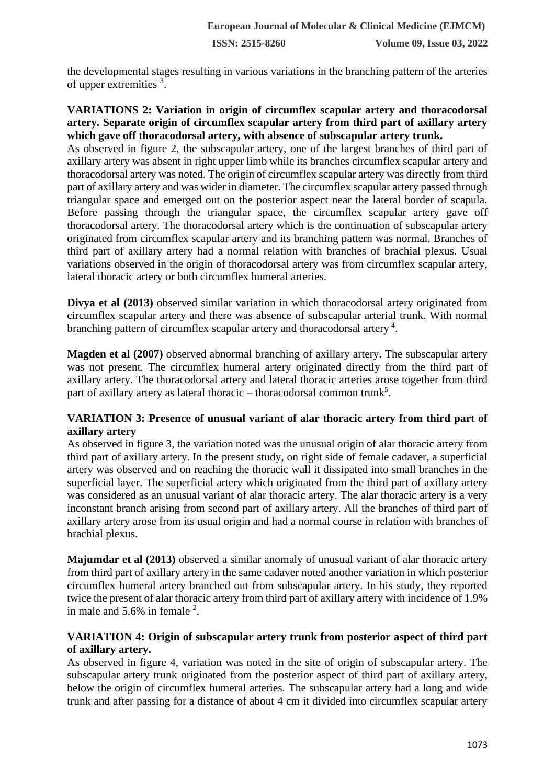the developmental stages resulting in various variations in the branching pattern of the arteries of upper extremities <sup>3</sup>.

### **VARIATIONS 2: Variation in origin of circumflex scapular artery and thoracodorsal artery. Separate origin of circumflex scapular artery from third part of axillary artery which gave off thoracodorsal artery, with absence of subscapular artery trunk.**

As observed in figure 2, the subscapular artery, one of the largest branches of third part of axillary artery was absent in right upper limb while its branches circumflex scapular artery and thoracodorsal artery was noted. The origin of circumflex scapular artery was directly from third part of axillary artery and was wider in diameter. The circumflex scapular artery passed through triangular space and emerged out on the posterior aspect near the lateral border of scapula. Before passing through the triangular space, the circumflex scapular artery gave off thoracodorsal artery. The thoracodorsal artery which is the continuation of subscapular artery originated from circumflex scapular artery and its branching pattern was normal. Branches of third part of axillary artery had a normal relation with branches of brachial plexus. Usual variations observed in the origin of thoracodorsal artery was from circumflex scapular artery, lateral thoracic artery or both circumflex humeral arteries.

**Divya et al (2013)** observed similar variation in which thoracodorsal artery originated from circumflex scapular artery and there was absence of subscapular arterial trunk. With normal branching pattern of circumflex scapular artery and thoracodorsal artery<sup>4</sup>.

**Magden et al (2007)** observed abnormal branching of axillary artery. The subscapular artery was not present. The circumflex humeral artery originated directly from the third part of axillary artery. The thoracodorsal artery and lateral thoracic arteries arose together from third part of axillary artery as lateral thoracic – thoracodorsal common trunk<sup>5</sup>.

# **VARIATION 3: Presence of unusual variant of alar thoracic artery from third part of axillary artery**

As observed in figure 3, the variation noted was the unusual origin of alar thoracic artery from third part of axillary artery. In the present study, on right side of female cadaver, a superficial artery was observed and on reaching the thoracic wall it dissipated into small branches in the superficial layer. The superficial artery which originated from the third part of axillary artery was considered as an unusual variant of alar thoracic artery. The alar thoracic artery is a very inconstant branch arising from second part of axillary artery. All the branches of third part of axillary artery arose from its usual origin and had a normal course in relation with branches of brachial plexus.

**Majumdar et al (2013)** observed a similar anomaly of unusual variant of alar thoracic artery from third part of axillary artery in the same cadaver noted another variation in which posterior circumflex humeral artery branched out from subscapular artery. In his study, they reported twice the present of alar thoracic artery from third part of axillary artery with incidence of 1.9% in male and  $5.6\%$  in female  $2$ .

### **VARIATION 4: Origin of subscapular artery trunk from posterior aspect of third part of axillary artery.**

As observed in figure 4, variation was noted in the site of origin of subscapular artery. The subscapular artery trunk originated from the posterior aspect of third part of axillary artery, below the origin of circumflex humeral arteries. The subscapular artery had a long and wide trunk and after passing for a distance of about 4 cm it divided into circumflex scapular artery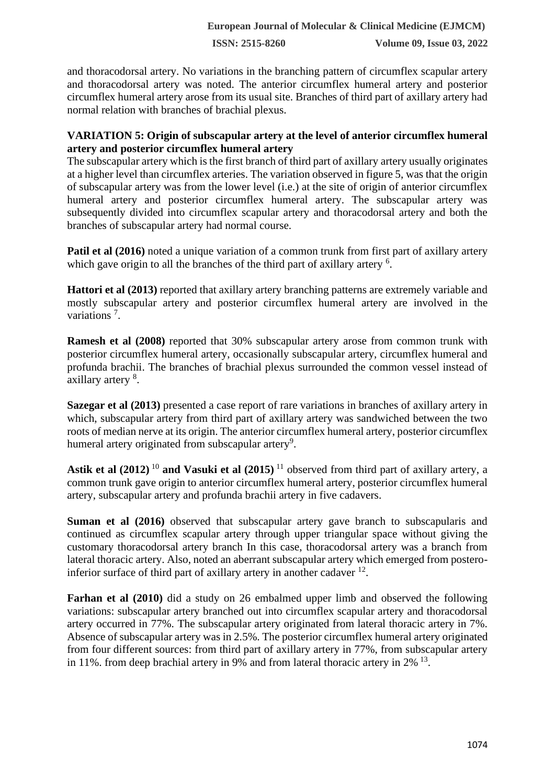**ISSN: 2515-8260 Volume 09, Issue 03, 2022**

and thoracodorsal artery. No variations in the branching pattern of circumflex scapular artery and thoracodorsal artery was noted. The anterior circumflex humeral artery and posterior circumflex humeral artery arose from its usual site. Branches of third part of axillary artery had normal relation with branches of brachial plexus.

### **VARIATION 5: Origin of subscapular artery at the level of anterior circumflex humeral artery and posterior circumflex humeral artery**

The subscapular artery which is the first branch of third part of axillary artery usually originates at a higher level than circumflex arteries. The variation observed in figure 5, was that the origin of subscapular artery was from the lower level (i.e.) at the site of origin of anterior circumflex humeral artery and posterior circumflex humeral artery. The subscapular artery was subsequently divided into circumflex scapular artery and thoracodorsal artery and both the branches of subscapular artery had normal course.

**Patil et al (2016)** noted a unique variation of a common trunk from first part of axillary artery which gave origin to all the branches of the third part of axillary artery <sup>6</sup>.

**Hattori et al (2013)** reported that axillary artery branching patterns are extremely variable and mostly subscapular artery and posterior circumflex humeral artery are involved in the variations<sup>7</sup>.

**Ramesh et al (2008)** reported that 30% subscapular artery arose from common trunk with posterior circumflex humeral artery, occasionally subscapular artery, circumflex humeral and profunda brachii. The branches of brachial plexus surrounded the common vessel instead of axillary artery <sup>8</sup>.

**Sazegar et al (2013)** presented a case report of rare variations in branches of axillary artery in which, subscapular artery from third part of axillary artery was sandwiched between the two roots of median nerve at its origin. The anterior circumflex humeral artery, posterior circumflex humeral artery originated from subscapular artery<sup>9</sup>.

**Astik et al (2012)** <sup>10</sup> **and Vasuki et al (2015)** <sup>11</sup> observed from third part of axillary artery, a common trunk gave origin to anterior circumflex humeral artery, posterior circumflex humeral artery, subscapular artery and profunda brachii artery in five cadavers.

**Suman et al (2016)** observed that subscapular artery gave branch to subscapularis and continued as circumflex scapular artery through upper triangular space without giving the customary thoracodorsal artery branch In this case, thoracodorsal artery was a branch from lateral thoracic artery. Also, noted an aberrant subscapular artery which emerged from posteroinferior surface of third part of axillary artery in another cadaver  $12$ .

**Farhan et al (2010)** did a study on 26 embalmed upper limb and observed the following variations: subscapular artery branched out into circumflex scapular artery and thoracodorsal artery occurred in 77%. The subscapular artery originated from lateral thoracic artery in 7%. Absence of subscapular artery was in 2.5%. The posterior circumflex humeral artery originated from four different sources: from third part of axillary artery in 77%, from subscapular artery in 11%. from deep brachial artery in 9% and from lateral thoracic artery in  $2\%$  <sup>13</sup>.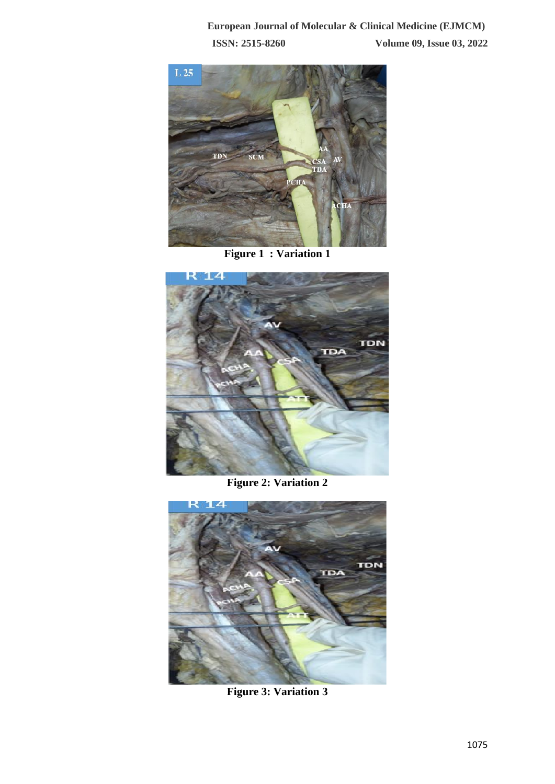

**Figure 1 : Variation 1**



**Figure 2: Variation 2**



**Figure 3: Variation 3**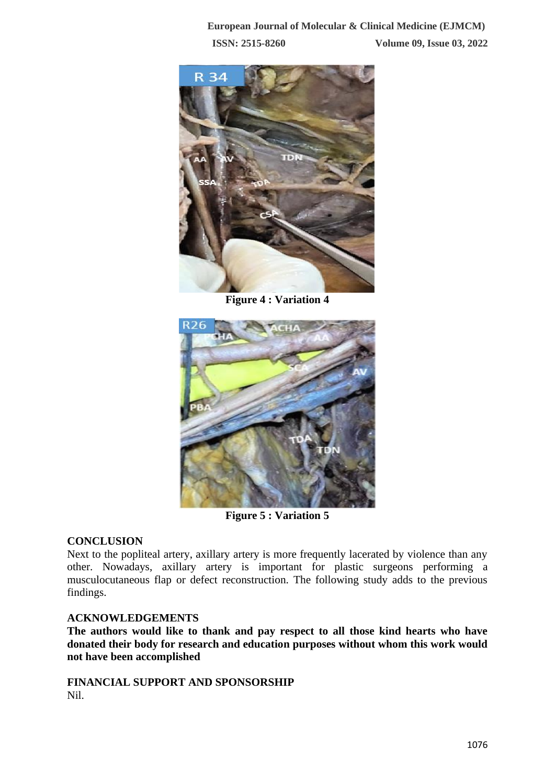

**Figure 4 : Variation 4**



**Figure 5 : Variation 5**

### **CONCLUSION**

Next to the popliteal artery, axillary artery is more frequently lacerated by violence than any other. Nowadays, axillary artery is important for plastic surgeons performing a musculocutaneous flap or defect reconstruction. The following study adds to the previous findings.

### **ACKNOWLEDGEMENTS**

**The authors would like to thank and pay respect to all those kind hearts who have donated their body for research and education purposes without whom this work would not have been accomplished**

**FINANCIAL SUPPORT AND SPONSORSHIP** Nil.